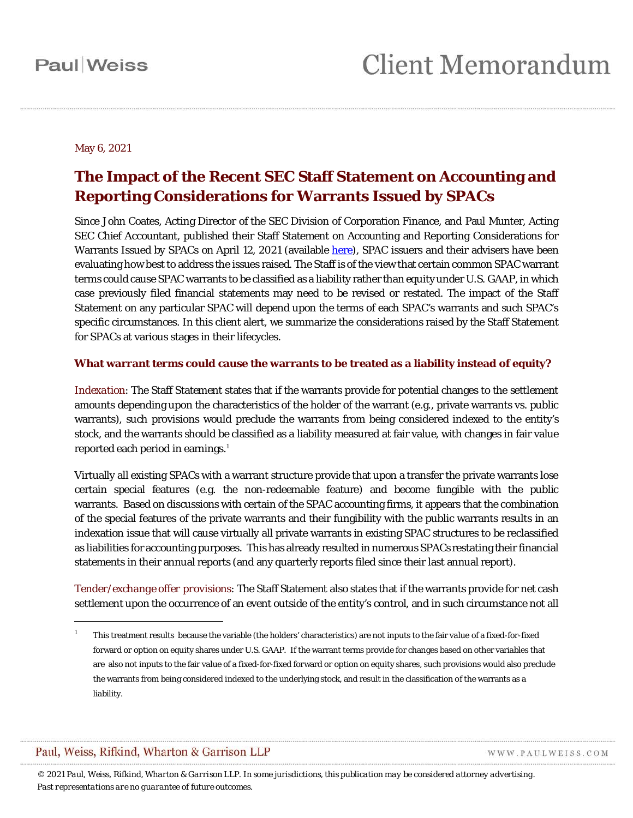### May 6, 2021

### **The Impact of the Recent SEC Staff Statement on Accounting and Reporting Considerations for Warrants Issued by SPACs**

Since John Coates, Acting Director of the SEC Division of Corporation Finance, and Paul Munter, Acting SEC Chief Accountant, published their Staff Statement on Accounting and Reporting Considerations for Warrants Issued by SPACs on April 12, 2021 (available [here\)](https://www.sec.gov/news/public-statement/accounting-reporting-warrants-issued-spacs), SPAC issuers and their advisers have been evaluating how best to address the issues raised. The Staff is of the view that certain common SPAC warrant terms could cause SPAC warrants to be classified as a liability rather than equity under U.S. GAAP, in which case previously filed financial statements may need to be revised or restated. The impact of the Staff Statement on any particular SPAC will depend upon the terms of each SPAC's warrants and such SPAC's specific circumstances. In this client alert, we summarize the considerations raised by the Staff Statement for SPACs at various stages in their lifecycles.

### **What warrant terms could cause the warrants to be treated as a liability instead of equity?**

*Indexation*: The Staff Statement states that if the warrants provide for potential changes to the settlement amounts depending upon the characteristics of the holder of the warrant (e.g., private warrants vs. public warrants), such provisions would preclude the warrants from being considered indexed to the entity's stock, and the warrants should be classified as a liability measured at fair value, with changes in fair value reported each period in earnings. $^{\rm 1}$  $^{\rm 1}$  $^{\rm 1}$ 

Virtually all existing SPACs with a warrant structure provide that upon a transfer the private warrants lose certain special features (e.g. the non-redeemable feature) and become fungible with the public warrants. Based on discussions with certain of the SPAC accounting firms, it appears that the combination of the special features of the private warrants and their fungibility with the public warrants results in an indexation issue that will cause virtually all private warrants in existing SPAC structures to be reclassified as liabilities for accounting purposes. This has already resulted in numerous SPACs restating their financial statements in their annual reports (and any quarterly reports filed since their last annual report).

*Tender/exchange offer provisions*: The Staff Statement also states that if the warrants provide for net cash settlement upon the occurrence of an event outside of the entity's control, and in such circumstance not all

### Paul, Weiss, Rifkind, Wharton & Garrison LLP

 $\overline{a}$ 

WWW.PAULWEISS.COM

<span id="page-0-0"></span><sup>1</sup> This treatment results because the variable (the holders' characteristics) are not inputs to the fair value of a fixed-for-fixed forward or option on equity shares under U.S. GAAP. If the warrant terms provide for changes based on other variables that are also not inputs to the fair value of a fixed-for-fixed forward or option on equity shares, such provisions would also preclude the warrants from being considered indexed to the underlying stock, and result in the classification of the warrants as a liability.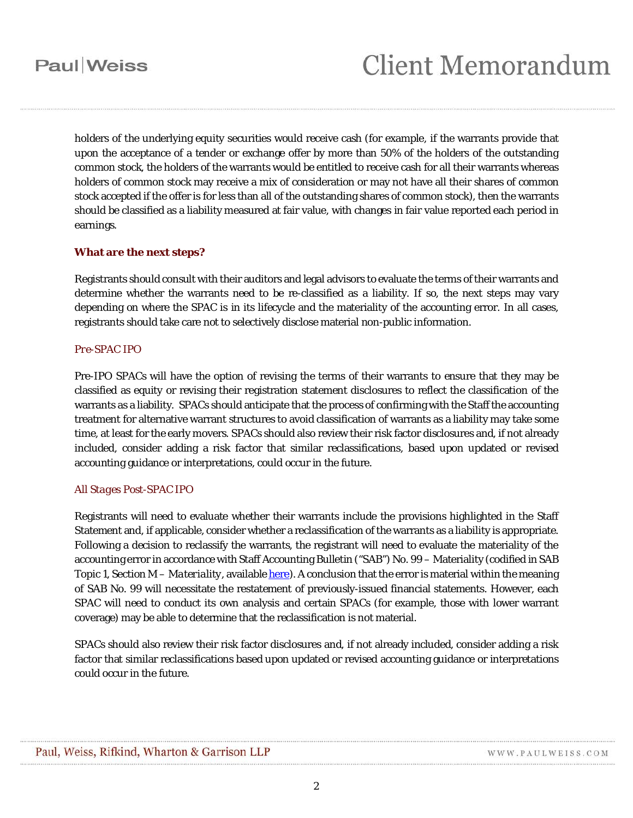## **Paul** Weiss

# **Client Memorandum**

holders of the underlying equity securities would receive cash (for example, if the warrants provide that upon the acceptance of a tender or exchange offer by more than 50% of the holders of the outstanding common stock, the holders of the warrants would be entitled to receive cash for all their warrants whereas holders of common stock may receive a mix of consideration or may not have all their shares of common stock accepted if the offer is for less than all of the outstanding shares of common stock), then the warrants should be classified as a liability measured at fair value, with changes in fair value reported each period in earnings.

### **What are the next steps?**

Registrants should consult with their auditors and legal advisors to evaluate the terms of their warrants and determine whether the warrants need to be re-classified as a liability. If so, the next steps may vary depending on where the SPAC is in its lifecycle and the materiality of the accounting error. In all cases, registrants should take care not to selectively disclose material non-public information.

#### *Pre-SPAC IPO*

Pre-IPO SPACs will have the option of revising the terms of their warrants to ensure that they may be classified as equity or revising their registration statement disclosures to reflect the classification of the warrants as a liability. SPACs should anticipate that the process of confirming with the Staff the accounting treatment for alternative warrant structures to avoid classification of warrants as a liability may take some time, at least for the early movers. SPACs should also review their risk factor disclosures and, if not already included, consider adding a risk factor that similar reclassifications, based upon updated or revised accounting guidance or interpretations, could occur in the future.

### *All Stages Post-SPAC IPO*

Registrants will need to evaluate whether their warrants include the provisions highlighted in the Staff Statement and, if applicable, consider whether a reclassification of the warrants as a liability is appropriate. Following a decision to reclassify the warrants, the registrant will need to evaluate the materiality of the accounting error in accordance with Staff Accounting Bulletin ("SAB") No. 99 – Materiality (codified in SAB Topic 1, Section M – *Materiality*, available *here*). A conclusion that the error is material within the meaning of SAB No. 99 will necessitate the restatement of previously-issued financial statements. However, each SPAC will need to conduct its own analysis and certain SPACs (for example, those with lower warrant coverage) may be able to determine that the reclassification is not material.

SPACs should also review their risk factor disclosures and, if not already included, consider adding a risk factor that similar reclassifications based upon updated or revised accounting guidance or interpretations could occur in the future.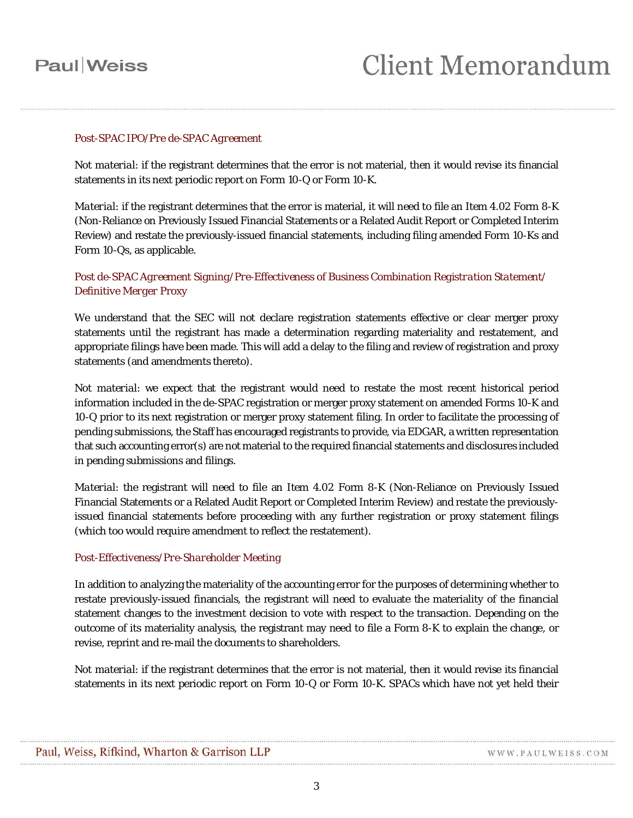## **Paul** Weiss

### *Post-SPAC IPO/Pre de-SPAC Agreement*

*Not material*: if the registrant determines that the error is not material, then it would revise its financial statements in its next periodic report on Form 10-Q or Form 10-K.

*Material*: if the registrant determines that the error is material, it will need to file an Item 4.02 Form 8-K (Non-Reliance on Previously Issued Financial Statements or a Related Audit Report or Completed Interim Review) and restate the previously-issued financial statements, including filing amended Form 10-Ks and Form 10-Qs, as applicable.

### *Post de-SPAC Agreement Signing/Pre-Effectiveness of Business Combination Registration Statement/ Definitive Merger Proxy*

We understand that the SEC will not declare registration statements effective or clear merger proxy statements until the registrant has made a determination regarding materiality and restatement, and appropriate filings have been made. This will add a delay to the filing and review of registration and proxy statements (and amendments thereto).

*Not material*: we expect that the registrant would need to restate the most recent historical period information included in the de-SPAC registration or merger proxy statement on amended Forms 10-K and 10-Q prior to its next registration or merger proxy statement filing. In order to facilitate the processing of pending submissions, the Staff has encouraged registrants to provide, via EDGAR, a written representation that such accounting error(s) are not material to the required financial statements and disclosures included in pending submissions and filings.

*Material*: the registrant will need to file an Item 4.02 Form 8-K (Non-Reliance on Previously Issued Financial Statements or a Related Audit Report or Completed Interim Review) and restate the previouslyissued financial statements before proceeding with any further registration or proxy statement filings (which too would require amendment to reflect the restatement).

### *Post-Effectiveness/Pre-Shareholder Meeting*

In addition to analyzing the materiality of the accounting error for the purposes of determining whether to restate previously-issued financials, the registrant will need to evaluate the materiality of the financial statement changes to the investment decision to vote with respect to the transaction. Depending on the outcome of its materiality analysis, the registrant may need to file a Form 8-K to explain the change, or revise, reprint and re-mail the documents to shareholders.

*Not material*: if the registrant determines that the error is not material, then it would revise its financial statements in its next periodic report on Form 10-Q or Form 10-K. SPACs which have not yet held their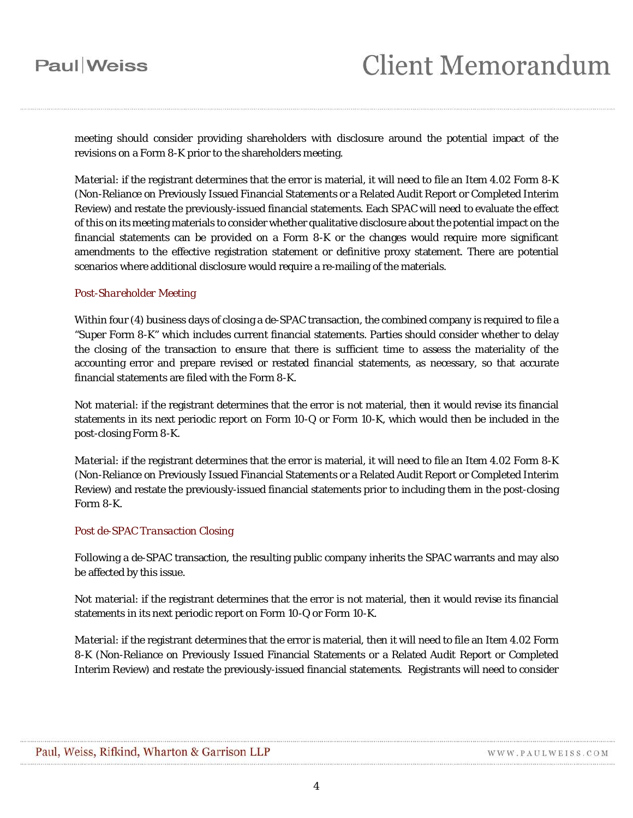### **Paul** Weiss

meeting should consider providing shareholders with disclosure around the potential impact of the revisions on a Form 8-K prior to the shareholders meeting.

*Material*: if the registrant determines that the error is material, it will need to file an Item 4.02 Form 8-K (Non-Reliance on Previously Issued Financial Statements or a Related Audit Report or Completed Interim Review) and restate the previously-issued financial statements. Each SPAC will need to evaluate the effect of this on its meeting materials to consider whether qualitative disclosure about the potential impact on the financial statements can be provided on a Form 8-K or the changes would require more significant amendments to the effective registration statement or definitive proxy statement. There are potential scenarios where additional disclosure would require a re-mailing of the materials.

### *Post-Shareholder Meeting*

Within four (4) business days of closing a de-SPAC transaction, the combined company is required to file a "Super Form 8-K" which includes current financial statements. Parties should consider whether to delay the closing of the transaction to ensure that there is sufficient time to assess the materiality of the accounting error and prepare revised or restated financial statements, as necessary, so that accurate financial statements are filed with the Form 8-K.

*Not material*: if the registrant determines that the error is not material, then it would revise its financial statements in its next periodic report on Form 10-Q or Form 10-K, which would then be included in the post-closing Form 8-K.

*Material*: if the registrant determines that the error is material, it will need to file an Item 4.02 Form 8-K (Non-Reliance on Previously Issued Financial Statements or a Related Audit Report or Completed Interim Review) and restate the previously-issued financial statements prior to including them in the post-closing Form 8-K.

### *Post de-SPAC Transaction Closing*

Following a de-SPAC transaction, the resulting public company inherits the SPAC warrants and may also be affected by this issue.

*Not material*: if the registrant determines that the error is not material, then it would revise its financial statements in its next periodic report on Form 10-Q or Form 10-K.

*Material*: if the registrant determines that the error is material, then it will need to file an Item 4.02 Form 8-K (Non-Reliance on Previously Issued Financial Statements or a Related Audit Report or Completed Interim Review) and restate the previously-issued financial statements. Registrants will need to consider